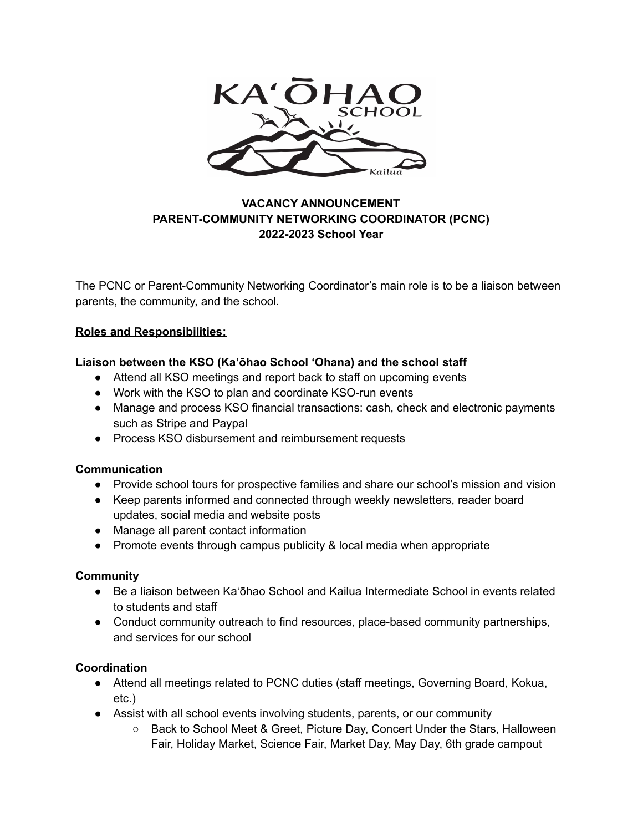

# **VACANCY ANNOUNCEMENT PARENT-COMMUNITY NETWORKING COORDINATOR (PCNC) 2022-2023 School Year**

The PCNC or Parent-Community Networking Coordinator's main role is to be a liaison between parents, the community, and the school.

## **Roles and Responsibilities:**

## **Liaison between the KSO (Kaʻōhao School ʻOhana) and the school staff**

- Attend all KSO meetings and report back to staff on upcoming events
- Work with the KSO to plan and coordinate KSO-run events
- Manage and process KSO financial transactions: cash, check and electronic payments such as Stripe and Paypal
- Process KSO disbursement and reimbursement requests

#### **Communication**

- Provide school tours for prospective families and share our school's mission and vision
- Keep parents informed and connected through weekly newsletters, reader board updates, social media and website posts
- Manage all parent contact information
- Promote events through campus publicity & local media when appropriate

#### **Community**

- Be a liaison between Ka'ōhao School and Kailua Intermediate School in events related to students and staff
- Conduct community outreach to find resources, place-based community partnerships, and services for our school

#### **Coordination**

- Attend all meetings related to PCNC duties (staff meetings, Governing Board, Kokua, etc.)
- Assist with all school events involving students, parents, or our community
	- Back to School Meet & Greet, Picture Day, Concert Under the Stars, Halloween Fair, Holiday Market, Science Fair, Market Day, May Day, 6th grade campout